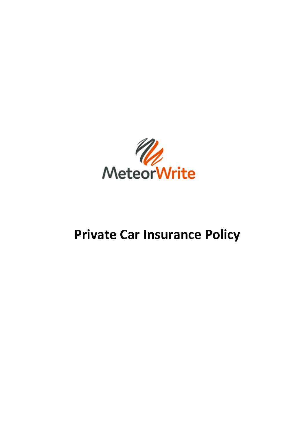

# **Private Car Insurance Policy**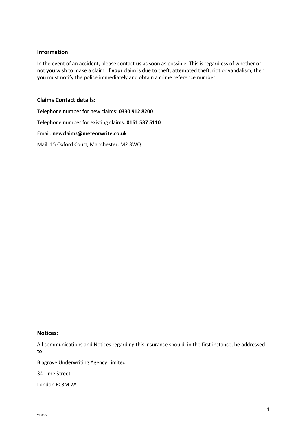#### **Information**

In the event of an accident, please contact **us** as soon as possible. This is regardless of whether or not **you** wish to make a claim. If **your** claim is due to theft, attempted theft, riot or vandalism, then **you** must notify the police immediately and obtain a crime reference number.

#### **Claims Contact details:**

Telephone number for new claims: **0330 912 8200** Telephone number for existing claims: **0161 537 5110** Email: **newclaims@meteorwrite.co.uk** Mail: 15 Oxford Court, Manchester, M2 3WQ

#### **Notices:**

All communications and Notices regarding this insurance should, in the first instance, be addressed to:

Blagrove Underwriting Agency Limited

34 Lime Street

London EC3M 7AT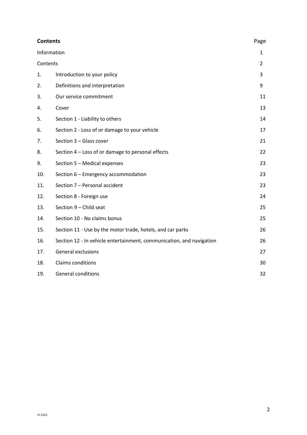| <b>Contents</b> |                                                                      |                |
|-----------------|----------------------------------------------------------------------|----------------|
| Information     |                                                                      | $\mathbf{1}$   |
| Contents        |                                                                      | $\overline{2}$ |
| 1.              | Introduction to your policy                                          | 3              |
| 2.              | Definitions and interpretation                                       | 9              |
| 3.              | Our service commitment                                               | 11             |
| 4.              | Cover                                                                | 13             |
| 5.              | Section 1 - Liability to others                                      | 14             |
| 6.              | Section 2 - Loss of or damage to your vehicle                        | 17             |
| 7.              | Section 3 - Glass cover                                              | 21             |
| 8.              | Section 4 - Loss of or damage to personal effects                    | 22             |
| 9.              | Section 5 - Medical expenses                                         | 23             |
| 10.             | Section 6 - Emergency accommodation                                  | 23             |
| 11.             | Section 7 - Personal accident                                        | 23             |
| 12.             | Section 8 - Foreign use                                              | 24             |
| 13.             | Section 9 - Child seat                                               | 25             |
| 14.             | Section 10 - No claims bonus                                         | 25             |
| 15.             | Section 11 - Use by the motor trade, hotels, and car parks           | 26             |
| 16.             | Section 12 - In vehicle entertainment, communication, and navigation | 26             |
| 17.             | <b>General exclusions</b>                                            | 27             |
| 18.             | Claims conditions                                                    | 30             |
| 19.             | <b>General conditions</b>                                            | 32             |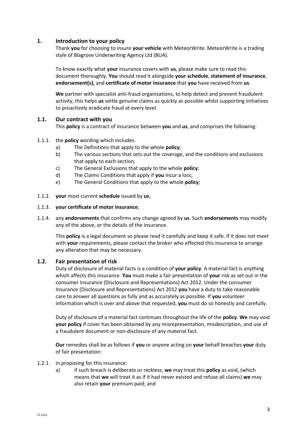#### **1. Introduction to your policy**

Thank **you** for choosing to insure **your vehicle** with MeteorWrite. MeteorWrite is a trading style of Blagrove Underwriting Agency Ltd (BUA).

To know exactly what **your** insurance covers with **us**, please make sure to read this document thoroughly. **You** should read it alongside **your schedule**, **statement of insurance**, **endorsement(s),** and **certificate of motor insurance** that **you** have received from **us**.

**We** partner with specialist anti-fraud organisations, to help detect and prevent fraudulent activity, this helps **us** settle genuine claims as quickly as possible whilst supporting initiatives to proactively eradicate fraud at every level.

#### **1.1. Our contract with you**

This **policy** is a contract of insurance between **you** and **us**, and comprises the following:

#### 1.1.1. the **policy** wording which includes:

- a) The Definitions that apply to the whole **policy**;
- b) The various sections that sets out the coverage, and the conditions and exclusions that apply to each section;
- c) The General Exclusions that apply to the whole **policy**;
- d) The Claims Conditions that apply if **you** incur a loss;
- e) The General Conditions that apply to the whole **policy**;
- 1.1.2. **your** most current **schedule** issued by **us**;

#### 1.1.3. **your certificate of motor insurance**;

1.1.4. any **endorsements** that confirms any change agreed by **us**. Such **endorsements** may modify any of the above, or the details of the insurance.

This **policy** is a legal document so please read it carefully and keep it safe. If it does not meet with **your** requirements, please contact the broker who effected this insurance to arrange any alteration that may be necessary.

#### **1.2. Fair presentation of risk**

Duty of disclosure of material facts is a condition of **your policy**. A material fact is anything which affects this insurance. **You** must make a fair presentation of **your** risk as set out in the consumer Insurance (Disclosure and Representations) Act 2012. Under the consumer Insurance (Disclosure and Representations) Act 2012 **you** have a duty to take reasonable care to answer all questions as fully and as accurately as possible. If **you** volunteer information which is over and above that requested, **you** must do so honestly and carefully.

Duty of disclosure of a material fact continues throughout the life of the **policy**. **We** may void **your policy** if cover has been obtained by any misrepresentation, misdescription, and use of a fraudulent document or non-disclosure of any material fact.

**Our** remedies shall be as follows if **you** or anyone acting on **your** behalf breaches **your** duty of fair presentation:

- 1.2.1. in proposing for this insurance:
	- a) if such breach is deliberate or reckless, **we** may treat this **policy** as void, (which means that **we** will treat it as if it had never existed and refuse all claims) **we** may also retain **your** premium paid; and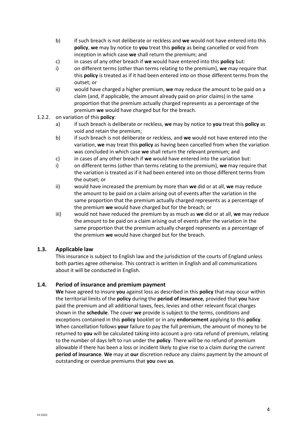- b) if such breach is not deliberate or reckless and **we** would not have entered into this **policy**, **we** may by notice to **you** treat this **policy** as being cancelled or void from inception in which case **we** shall return the premium; and
- c) in cases of any other breach if **we** would have entered into this **policy** but:
- i) on different terms (other than terms relating to the premium), **we** may require that this **policy** is treated as if it had been entered into on those different terms from the outset; or
- ii) would have charged a higher premium, **we** may reduce the amount to be paid on a claim (and, if applicable, the amount already paid on prior claims) in the same proportion that the premium actually charged represents as a percentage of the premium **we** would have charged but for the breach.

#### 1.2.2. on variation of this **policy**:

- a) if such breach is deliberate or reckless, **we** may by notice to **you** treat this **policy** as void and retain the premium;
- b) if such breach is not deliberate or reckless, and **we** would not have entered into the variation, **we** may treat this **policy** as having been cancelled from when the variation was concluded in which case **we** shall return the relevant premium; and
- c) in cases of any other breach if **we** would have entered into the variation but:
- i) on different terms (other than terms relating to the premium), **we** may require that the variation is treated as if it had been entered into on those different terms from the outset; or
- ii) would have increased the premium by more than **we** did or at all, **we** may reduce the amount to be paid on a claim arising out of events after the variation in the same proportion that the premium actually charged represents as a percentage of the premium **we** would have charged but for the breach; or
- iii) would not have reduced the premium by as much as **we** did or at all, **we** may reduce the amount to be paid on a claim arising out of events after the variation in the same proportion that the premium actually charged represents as a percentage of the premium **we** would have charged but for the breach.

## **1.3. Applicable law**

This insurance is subject to English law and the jurisdiction of the courts of England unless both parties agree otherwise. This contract is written in English and all communications about it will be conducted in English.

## **1.4. Period of insurance and premium payment**

**We** have agreed to insure **you** against loss as described in this **policy** that may occur within the territorial limits of the **policy** during the **period of insurance**, provided that **you** have paid the premium and all additional taxes, fees, levies and other relevant fiscal charges shown in the **schedule**. The cover **we** provide is subject to the terms, conditions and exceptions contained in this **policy** booklet or in any **endorsement** applying to this **policy**. When cancellation follows **your** failure to pay the full premium, the amount of money to be returned to **you** will be calculated taking into account a pro rata refund of premium, relating to the number of days left to run under the **policy**. There will be no refund of premium allowable if there has been a loss or incident likely to give rise to a claim during the current **period of insurance**. **We** may at **our** discretion reduce any claims payment by the amount of outstanding or overdue premiums that **you** owe **us**.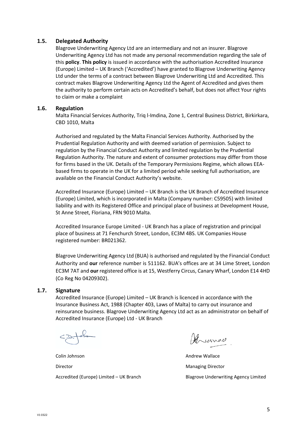#### **1.5. Delegated Authority**

Blagrove Underwriting Agency Ltd are an intermediary and not an insurer. Blagrove Underwriting Agency Ltd has not made any personal recommendation regarding the sale of this **policy**. **This policy** is issued in accordance with the authorisation Accredited Insurance (Europe) Limited – UK Branch ('Accredited') have granted to Blagrove Underwriting Agency Ltd under the terms of a contract between Blagrove Underwriting Ltd and Accredited. This contract makes Blagrove Underwriting Agency Ltd the Agent of Accredited and gives them the authority to perform certain acts on Accredited's behalf, but does not affect Your rights to claim or make a complaint

#### **1.6. Regulation**

Malta Financial Services Authority, Triq l-Imdina, Zone 1, Central Business District, Birkirkara, CBD 1010, Malta

Authorised and regulated by the Malta Financial Services Authority. Authorised by the Prudential Regulation Authority and with deemed variation of permission. Subject to regulation by the Financial Conduct Authority and limited regulation by the Prudential Regulation Authority. The nature and extent of consumer protections may differ from those for firms based in the UK. Details of the Temporary Permissions Regime, which allows EEAbased firms to operate in the UK for a limited period while seeking full authorisation, are available on the Financial Conduct Authority's website.

Accredited Insurance (Europe) Limited – UK Branch is the UK Branch of Accredited Insurance (Europe) Limited, which is incorporated in Malta (Company number: C59505) with limited liability and with its Registered Office and principal place of business at Development House, St Anne Street, Floriana, FRN 9010 Malta.

Accredited Insurance Europe Limited - UK Branch has a place of registration and principal place of business at 71 Fenchurch Street, London, EC3M 4BS. UK Companies House registered number: BR021362.

Blagrove Underwriting Agency Ltd (BUA) is authorised and regulated by the Financial Conduct Authority and **our** reference number is 511162. BUA's offices are at 34 Lime Street, London EC3M 7AT and **our** registered office is at 15, Westferry Circus, Canary Wharf, London E14 4HD (Co Reg No 04209302).

#### **1.7. Signature**

Accredited Insurance (Europe) Limited – UK Branch is licenced in accordance with the Insurance Business Act, 1988 (Chapter 403, Laws of Malta) to carry out insurance and reinsurance business. Blagrove Underwriting Agency Ltd act as an administrator on behalf of Accredited Insurance (Europe) Ltd - UK Branch

Accredited (Europe) Limited – UK Branch Blagrove Underwriting Agency Limited

Arsanno

Colin Johnson **Andrew Wallace Andrew Wallace** Director Managing Director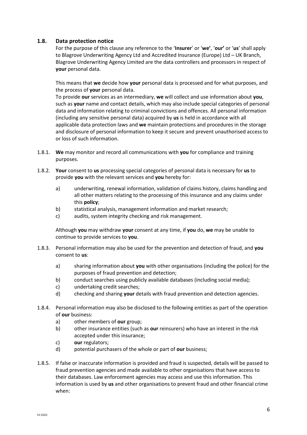#### **1.8. Data protection notice**

For the purpose of this clause any reference to the '**Insurer**' or '**we'**, '**our'** or '**us**' shall apply to Blagrove Underwriting Agency Ltd and Accredited Insurance (Europe) Ltd – UK Branch, Blagrove Underwriting Agency Limited are the data controllers and processors in respect of **your** personal data.

This means that **we** decide how **your** personal data is processed and for what purposes, and the process of **your** personal data.

To provide **our** services as an intermediary, **we** will collect and use information about **you**, such as **your** name and contact details, which may also include special categories of personal data and information relating to criminal convictions and offences. All personal information (including any sensitive personal data) acquired by **us** is held in accordance with all applicable data protection laws and **we** maintain protections and procedures in the storage and disclosure of personal information to keep it secure and prevent unauthorised access to or loss of such information.

- 1.8.1. **We** may monitor and record all communications with **you** for compliance and training purposes.
- 1.8.2. **Your** consent to **us** processing special categories of personal data is necessary for **us** to provide **you** with the relevant services and **you** hereby for:
	- a) underwriting, renewal information, validation of claims history, claims handling and all other matters relating to the processing of this insurance and any claims under this **policy**;
	- b) statistical analysis, management information and market research;
	- c) audits, system integrity checking and risk management.

Although **you** may withdraw **your** consent at any time, if **you** do, **we** may be unable to continue to provide services to **you**.

- 1.8.3. Personal information may also be used for the prevention and detection of fraud, and **you** consent to **us**:
	- a) sharing information about **you** with other organisations (including the police) for the purposes of fraud prevention and detection;
	- b) conduct searches using publicly available databases (including social media);
	- c) undertaking credit searches;
	- d) checking and sharing **your** details with fraud prevention and detection agencies.
- 1.8.4. Personal information may also be disclosed to the following entities as part of the operation of **our** business:
	- a) other members of **our** group;
	- b) other insurance entities (such as **our** reinsurers) who have an interest in the risk accepted under this insurance;
	- c) **our** regulators;
	- d) potential purchasers of the whole or part of **our** business;
- 1.8.5. If false or inaccurate information is provided and fraud is suspected, details will be passed to fraud prevention agencies and made available to other organisations that have access to their databases. Law enforcement agencies may access and use this information. This information is used by **us** and other organisations to prevent fraud and other financial crime when: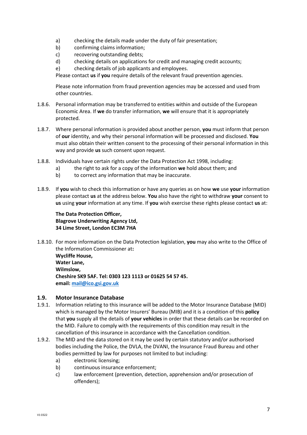- a) checking the details made under the duty of fair presentation;
- b) confirming claims information;
- c) recovering outstanding debts;
- d) checking details on applications for credit and managing credit accounts;
- e) checking details of job applicants and employees.

Please contact **us** if **you** require details of the relevant fraud prevention agencies.

Please note information from fraud prevention agencies may be accessed and used from other countries.

- 1.8.6. Personal information may be transferred to entities within and outside of the European Economic Area. If **we** do transfer information, **we** will ensure that it is appropriately protected.
- 1.8.7. Where personal information is provided about another person, **you** must inform that person of **our** identity, and why their personal information will be processed and disclosed. **You** must also obtain their written consent to the processing of their personal information in this way and provide **us** such consent upon request.
- 1.8.8. Individuals have certain rights under the Data Protection Act 1998, including:
	- a) the right to ask for a copy of the information **we** hold about them; and
	- b) to correct any information that may be inaccurate.
- 1.8.9. If **you** wish to check this information or have any queries as on how **we** use **your** information please contact **us** at the address below. **You** also have the right to withdraw **your** consent to **us** using **your** information at any time. If **you** wish exercise these rights please contact **us** at:

## **The Data Protection Officer, Blagrove Underwriting Agency Ltd, 34 Lime Street, London EC3M 7HA**

1.8.10. For more information on the Data Protection legislation, **you** may also write to the Office of the Information Commissioner at**: Wycliffe House,** 

**Water Lane, Wilmslow, Cheshire SK9 5AF. Tel: 0303 123 1113 or 01625 54 57 45. email: [mail@ico.gsi.gov.uk](mailto:mail@ico.gsi.gov.uk)**

## **1.9. Motor Insurance Database**

- 1.9.1. Information relating to this insurance will be added to the Motor Insurance Database (MID) which is managed by the Motor Insurers' Bureau (MIB) and it is a condition of this **policy** that **you** supply all the details of **your vehicles** in order that these details can be recorded on the MID. Failure to comply with the requirements of this condition may result in the cancellation of this insurance in accordance with the Cancellation condition.
- 1.9.2. The MID and the data stored on it may be used by certain statutory and/or authorised bodies including the Police, the DVLA, the DVANI, the Insurance Fraud Bureau and other bodies permitted by law for purposes not limited to but including:
	- a) electronic licensing;
	- b) continuous insurance enforcement;
	- c) law enforcement (prevention, detection, apprehension and/or prosecution of offenders);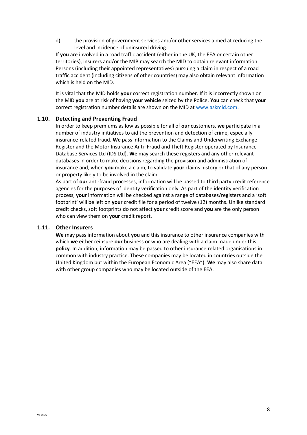d) the provision of government services and/or other services aimed at reducing the level and incidence of uninsured driving.

If **you** are involved in a road traffic accident (either in the UK, the EEA or certain other territories), insurers and/or the MIB may search the MID to obtain relevant information. Persons (including their appointed representatives) pursuing a claim in respect of a road traffic accident (including citizens of other countries) may also obtain relevant information which is held on the MID.

It is vital that the MID holds **your** correct registration number. If it is incorrectly shown on the MID **you** are at risk of having **your vehicle** seized by the Police. **You** can check that **your** correct registration number details are shown on the MID at [www.askmid.com.](http://www.askmid.com/)

#### **1.10. Detecting and Preventing Fraud**

In order to keep premiums as low as possible for all of **our** customers, **we** participate in a number of industry initiatives to aid the prevention and detection of crime, especially insurance-related fraud. **We** pass information to the Claims and Underwriting Exchange Register and the Motor Insurance Anti–Fraud and Theft Register operated by Insurance Database Services Ltd (IDS Ltd). **We** may search these registers and any other relevant databases in order to make decisions regarding the provision and administration of insurance and, when **you** make a claim, to validate **your** claims history or that of any person or property likely to be involved in the claim.

As part of **our** anti-fraud processes, information will be passed to third party credit reference agencies for the purposes of identity verification only. As part of the identity verification process, **your** information will be checked against a range of databases/registers and a 'soft footprint' will be left on **your** credit file for a period of twelve (12) months. Unlike standard credit checks, soft footprints do not affect **your** credit score and **you** are the only person who can view them on **your** credit report.

#### **1.11. Other Insurers**

**We** may pass information about **you** and this insurance to other insurance companies with which **we** either reinsure **our** business or who are dealing with a claim made under this **policy**. In addition, information may be passed to other insurance related organisations in common with industry practice. These companies may be located in countries outside the United Kingdom but within the European Economic Area ("EEA"). **We** may also share data with other group companies who may be located outside of the EEA.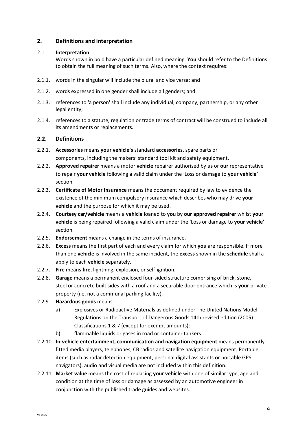## **2. Definitions and interpretation**

#### 2.1. **Interpretation**

Words shown in bold have a particular defined meaning. **You** should refer to the Definitions to obtain the full meaning of such terms. Also, where the context requires:

- 2.1.1. words in the singular will include the plural and vice versa; and
- 2.1.2. words expressed in one gender shall include all genders; and
- 2.1.3. references to 'a person' shall include any individual, company, partnership, or any other legal entity;
- 2.1.4. references to a statute, regulation or trade terms of contract will be construed to include all its amendments or replacements.

## **2.2. Definitions**

- 2.2.1. **Accessories** means **your vehicle's** standard **accessories**, spare parts or components, including the makers' standard tool kit and safety equipment.
- 2.2.2. **Approved repairer** means a motor **vehicle** repairer authorised by **us** or **our** representative to repair **your vehicle** following a valid claim under the 'Loss or damage to **your vehicle'** section.
- 2.2.3. **Certificate of Motor Insurance** means the document required by law to evidence the existence of the minimum compulsory insurance which describes who may drive **your vehicle** and the purpose for which it may be used.
- 2.2.4. **Courtesy car/vehicle** means a **vehicle** loaned to **you** by **our approved repairer** whilst **your vehicle** is being repaired following a valid claim under the 'Loss or damage to **your vehicle**' section.
- 2.2.5. **Endorsement** means a change in the terms of insurance.
- 2.2.6. **Excess** means the first part of each and every claim for which **you** are responsible. If more than one **vehicle** is involved in the same incident, the **excess** shown in the **schedule** shall a apply to each **vehicle** separately.
- 2.2.7. **Fire** means **fire**, lightning, explosion, or self-ignition.
- 2.2.8. **Garage** means a permanent enclosed four-sided structure comprising of brick, stone, steel or concrete built sides with a roof and a securable door entrance which is **your** private property (i.e. not a communal parking facility).
- 2.2.9. **Hazardous goods** means:
	- a) Explosives or Radioactive Materials as defined under The United Nations Model Regulations on the Transport of Dangerous Goods 14th revised edition (2005) Classifications 1 & 7 (except for exempt amounts);
	- b) flammable liquids or gases in road or container tankers.
- 2.2.10. **In-vehicle entertainment, communication and navigation equipment** means permanently fitted media players, telephones, CB radios and satellite navigation equipment. Portable items (such as radar detection equipment, personal digital assistants or portable GPS navigators), audio and visual media are not included within this definition.
- 2.2.11. **Market value** means the cost of replacing **your vehicle** with one of similar type, age and condition at the time of loss or damage as assessed by an automotive engineer in conjunction with the published trade guides and websites.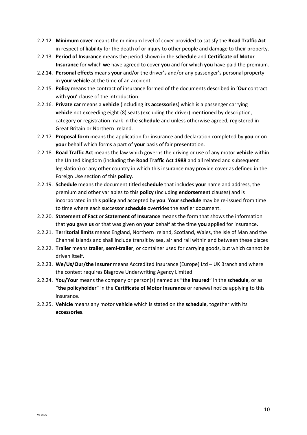- 2.2.12. **Minimum cover** means the minimum level of cover provided to satisfy the **Road Traffic Act** in respect of liability for the death of or injury to other people and damage to their property.
- 2.2.13. **Period of Insurance** means the period shown in the **schedule** and **Certificate of Motor Insurance** for which **we** have agreed to cover **you** and for which **you** have paid the premium.
- 2.2.14. **Personal effects** means **your** and/or the driver's and/or any passenger's personal property in **your vehicle** at the time of an accident.
- 2.2.15. **Policy** means the contract of insurance formed of the documents described in '**Our** contract with **you**' clause of the introduction.
- 2.2.16. **Private car** means a **vehicle** (including its **accessories**) which is a passenger carrying **vehicle** not exceeding eight (8) seats (excluding the driver) mentioned by description, category or registration mark in the **schedule** and unless otherwise agreed, registered in Great Britain or Northern Ireland.
- 2.2.17. **Proposal form** means the application for insurance and declaration completed by **you** or on **your** behalf which forms a part of **your** basis of fair presentation.
- 2.2.18. **Road Traffic Act** means the law which governs the driving or use of any motor **vehicle** within the United Kingdom (including the **Road Traffic Act 1988** and all related and subsequent legislation) or any other country in which this insurance may provide cover as defined in the Foreign Use section of this **policy**.
- 2.2.19. **Schedule** means the document titled **schedule** that includes **your** name and address, the premium and other variables to this **policy** (including **endorsement** clauses) and is incorporated in this **policy** and accepted by **you**. **Your schedule** may be re-issued from time to time where each successor **schedule** overrides the earlier document.
- 2.2.20. **Statement of Fact** or **Statement of Insurance** means the form that shows the information that **you** gave **us** or that was given on **your** behalf at the time **you** applied for insurance.
- 2.2.21. **Territorial limits** means England, Northern Ireland, Scotland, Wales, the Isle of Man and the Channel Islands and shall include transit by sea, air and rail within and between these places
- 2.2.22. **Trailer** means **trailer**, **semi-trailer**, or container used for carrying goods, but which cannot be driven itself.
- 2.2.23. **We/Us/Our/the Insurer** means Accredited Insurance (Europe) Ltd UK Branch and where the context requires Blagrove Underwriting Agency Limited.
- 2.2.24. **You/Your** means the company or person(s) named as "**the insured**" in the **schedule**, or as "**the policyholder**" in the **Certificate of Motor Insurance** or renewal notice applying to this insurance.
- 2.2.25. **Vehicle** means any motor **vehicle** which is stated on the **schedule**, together with its **accessories**.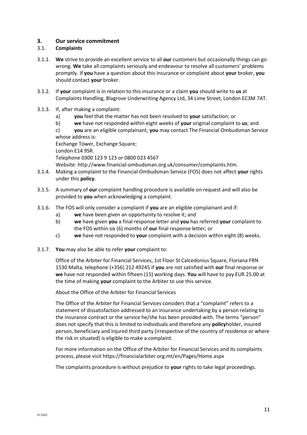## **3. Our service commitment**

## 3.1. **Complaints**

- 3.1.1. **We** strive to provide an excellent service to all **our** customers but occasionally things can go wrong. **We** take all complaints seriously and endeavour to resolve all customers' problems promptly. If **you** have a question about this insurance or complaint about **your** broker, **you** should contact **your** broker.
- 3.1.2. If **your** complaint is in relation to this insurance or a claim **you** should write to **us** at Complaints Handling, Blagrove Underwriting Agency Ltd, 34 Lime Street, London EC3M 7AT.
- 3.1.3. If, after making a complaint:
	- a) **you** feel that the matter has not been resolved to **your** satisfaction; or
	- b) **we** have not responded within eight weeks of **your** original complaint to **us**; and
	- c) **you** are an eligible complainant; **you** may contact The Financial Ombudsman Service whose address is:

Exchange Tower, Exchange Square; London E14 9SR.

Telephone 0300 123 9 123 or 0800 023 4567

Website: http://www.financial-ombudsman.org.uk/consumer/complaints.htm.

- 3.1.4. Making a complaint to the Financial Ombudsman Service (FOS) does not affect **your** rights under this **policy**.
- 3.1.5. A summary of **our** complaint handling procedure is available on request and will also be provided to **you** when acknowledging a complaint.
- 3.1.6. The FOS will only consider a complaint if **you** are an eligible complainant and if:
	- a) **we** have been given an opportunity to resolve it; and
	- b) **we** have given **you** a final response letter and **you** has referred **your** complaint to the FOS within six (6) months of **our** final response letter; or
	- c) **we** have not responded to **your** complaint with a decision within eight (8) weeks.
- 3.1.7. **You** may also be able to refer **your** complaint to:

Office of the Arbiter for Financial Services, 1st Floor St Calcedonius Square, Floriana FRN 1530 Malta, telephone (+356) 212 49245 if **you** are not satisfied with **our** final response or **we** have not responded within fifteen (15) working days. **You** will have to pay EUR 25.00 at the time of making **your** complaint to the Arbiter to use this service.

About the Office of the Arbiter for Financial Services

The Office of the Arbiter for Financial Services considers that a "complaint" refers to a statement of dissatisfaction addressed to an insurance undertaking by a person relating to the insurance contract or the service he/she has been provided with. The terms "person" does not specify that this is limited to individuals and therefore any **policy**holder, insured person, beneficiary and injured third party (irrespective of the country of residence or where the risk in situated) is eligible to make a complaint.

For more information on the Office of the Arbiter for Financial Services and its complaints process, please visit https://financialarbiter.org.mt/en/Pages/Home.aspx

The complaints procedure is without prejudice to **your** rights to take legal proceedings.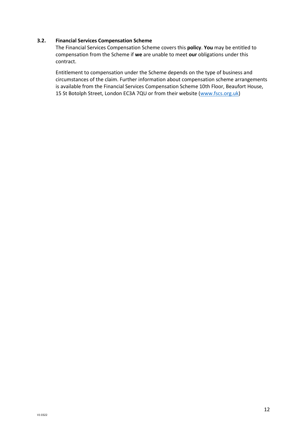#### **3.2. Financial Services Compensation Scheme**

The Financial Services Compensation Scheme covers this **policy**. **You** may be entitled to compensation from the Scheme if **we** are unable to meet **our** obligations under this contract.

Entitlement to compensation under the Scheme depends on the type of business and circumstances of the claim. Further information about compensation scheme arrangements is available from the Financial Services Compensation Scheme 10th Floor, Beaufort House, 15 St Botolph Street, London EC3A 7QU or from their website [\(www.fscs.org.uk\)](http://www.fscs.org.uk/)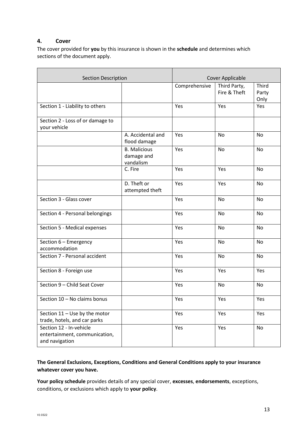## **4. Cover**

The cover provided for **you** by this insurance is shown in the **schedule** and determines which sections of the document apply.

| <b>Section Description</b>                                                 |                                                | <b>Cover Applicable</b> |                              |                               |
|----------------------------------------------------------------------------|------------------------------------------------|-------------------------|------------------------------|-------------------------------|
|                                                                            |                                                | Comprehensive           | Third Party,<br>Fire & Theft | <b>Third</b><br>Party<br>Only |
| Section 1 - Liability to others                                            |                                                | Yes                     | Yes                          | Yes                           |
| Section 2 - Loss of or damage to<br>your vehicle                           |                                                |                         |                              |                               |
|                                                                            | A. Accidental and<br>flood damage              | Yes                     | No                           | No                            |
|                                                                            | <b>B.</b> Malicious<br>damage and<br>vandalism | Yes                     | No                           | No                            |
|                                                                            | C. Fire                                        | Yes                     | Yes                          | No                            |
|                                                                            | D. Theft or<br>attempted theft                 | Yes                     | Yes                          | <b>No</b>                     |
| Section 3 - Glass cover                                                    |                                                | Yes                     | No                           | No                            |
| Section 4 - Personal belongings                                            |                                                | Yes                     | No                           | No                            |
| Section 5 - Medical expenses                                               |                                                | Yes                     | No                           | No                            |
| Section 6 - Emergency<br>accommodation                                     |                                                | Yes                     | No                           | No                            |
| Section 7 - Personal accident                                              |                                                | Yes                     | No                           | No                            |
| Section 8 - Foreign use                                                    |                                                | Yes                     | Yes                          | Yes                           |
| Section 9 - Child Seat Cover                                               |                                                | Yes                     | No                           | <b>No</b>                     |
| Section 10 - No claims bonus                                               |                                                | Yes                     | Yes                          | Yes                           |
| Section 11 - Use by the motor<br>trade, hotels, and car parks              |                                                | Yes                     | Yes                          | Yes                           |
| Section 12 - In-vehicle<br>entertainment, communication,<br>and navigation |                                                | Yes                     | Yes                          | No                            |

## **The General Exclusions, Exceptions, Conditions and General Conditions apply to your insurance whatever cover you have.**

**Your policy schedule** provides details of any special cover, **excesses**, **endorsements**, exceptions, conditions, or exclusions which apply to **your policy**.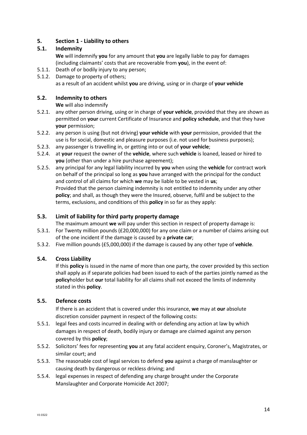## **5. Section 1 - Liability to others**

## **5.1. Indemnity**

**We** will indemnify **you** for any amount that **you** are legally liable to pay for damages (including claimants' costs that are recoverable from **you**), in the event of:

- 5.1.1. Death of or bodily injury to any person;
- 5.1.2. Damage to property of others; as a result of an accident whilst **you** are driving, using or in charge of **your vehicle**

## **5.2. Indemnity to others**

**We** will also indemnify

- 5.2.1. any other person driving, using or in charge of **your vehicle**, provided that they are shown as permitted on **your** current Certificate of Insurance and **policy schedule**, and that they have **your** permission;
- 5.2.2. any person is using (but not driving) **your vehicle** with **your** permission, provided that the use is for social, domestic and pleasure purposes (i.e. not used for business purposes);
- 5.2.3. any passenger is travelling in, or getting into or out of **your vehicle**;
- 5.2.4. at **your** request the owner of the **vehicle**, where such **vehicle** is loaned, leased or hired to **you** (other than under a hire purchase agreement);
- 5.2.5. any principal for any legal liability incurred by **you** when using the **vehicle** for contract work on behalf of the principal so long as **you** have arranged with the principal for the conduct and control of all claims for which **we** may be liable to be vested in **us**; Provided that the person claiming indemnity is not entitled to indemnity under any other **policy**; and shall, as though they were the Insured, observe, fulfil and be subject to the terms, exclusions, and conditions of this **policy** in so far as they apply:

## **5.3. Limit of liability for third party property damage**

The maximum amount **we** will pay under this section in respect of property damage is:

- 5.3.1. For Twenty million pounds (£20,000,000) for any one claim or a number of claims arising out of the one incident if the damage is caused by a **private car**;
- 5.3.2. Five million pounds (£5,000,000) if the damage is caused by any other type of **vehicle**.

## **5.4. Cross Liability**

If this **policy** is issued in the name of more than one party, the cover provided by this section shall apply as if separate policies had been issued to each of the parties jointly named as the **policy**holder but **our** total liability for all claims shall not exceed the limits of indemnity stated in this **policy**.

## **5.5. Defence costs**

If there is an accident that is covered under this insurance, **we** may at **our** absolute discretion consider payment in respect of the following costs:

- 5.5.1. legal fees and costs incurred in dealing with or defending any action at law by which damages in respect of death, bodily injury or damage are claimed against any person covered by this **policy**;
- 5.5.2. Solicitors' fees for representing **you** at any fatal accident enquiry, Coroner's, Magistrates, or similar court; and
- 5.5.3. The reasonable cost of legal services to defend **you** against a charge of manslaughter or causing death by dangerous or reckless driving; and
- 5.5.4. legal expenses in respect of defending any charge brought under the Corporate Manslaughter and Corporate Homicide Act 2007;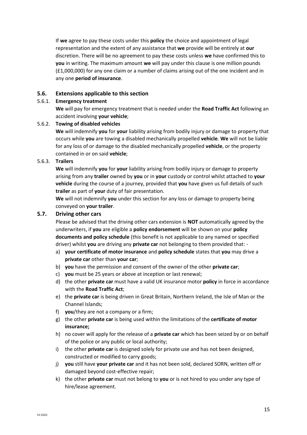If **we** agree to pay these costs under this **policy** the choice and appointment of legal representation and the extent of any assistance that **we** provide will be entirely at **our** discretion. There will be no agreement to pay these costs unless **we** have confirmed this to **you** in writing. The maximum amount **we** will pay under this clause is one million pounds (£1,000,000) for any one claim or a number of claims arising out of the one incident and in any one **period of insurance**.

#### **5.6. Extensions applicable to this section**

#### 5.6.1. **Emergency treatment**

**We** will pay for emergency treatment that is needed under the **Road Traffic Act** following an accident involving **your vehicle**;

#### 5.6.2. **Towing of disabled vehicles**

**We** will indemnify **you** for **your** liability arising from bodily injury or damage to property that occurs while **you** are towing a disabled mechanically propelled **vehicle**. **We** will not be liable for any loss of or damage to the disabled mechanically propelled **vehicle**, or the property contained in or on said **vehicle**;

#### 5.6.3. **Trailers**

**We** will indemnify **you** for **your** liability arising from bodily injury or damage to property arising from any **trailer** owned by **you** or in **your** custody or control whilst attached to **your vehicle** during the course of a journey, provided that **you** have given us full details of such **trailer** as part of **your** duty of fair presentation.

**We** will not indemnify **you** under this section for any loss or damage to property being conveyed on **your trailer**.

#### **5.7. Driving other cars**

Please be advised that the driving other cars extension is **NOT** automatically agreed by the underwriters, if **you** are eligible a **policy endorsement** will be shown on your **policy documents and policy schedule** (this benefit is not applicable to any named or specified driver) whilst **you** are driving any **private car** not belonging to them provided that: -

- a) **your certificate of motor insurance** and **policy schedule** states that **you** may drive a **private car** other than **your car**;
- b) **you** have the permission and consent of the owner of the other **private car**;
- c) **you** must be 25 years or above at inception or last renewal;
- d) the other **private car** must have a valid UK insurance motor **policy** in force in accordance with the **Road Traffic Act**;
- e) the **private car** is being driven in Great Britain, Northern Ireland, the Isle of Man or the Channel Islands;
- f) **you**/they are not a company or a firm;
- g) the other **private car** is being used within the limitations of the **certificate of motor insurance;**
- h) no cover will apply for the release of a **private car** which has been seized by or on behalf of the police or any public or local authority;
- i) the other **private car** is designed solely for private use and has not been designed, constructed or modified to carry goods;
- j) **you** still have **your private car** and it has not been sold, declared SORN, written off or damaged beyond cost-effective repair;
- k) the other **private car** must not belong to **you** or is not hired to you under any type of hire/lease agreement.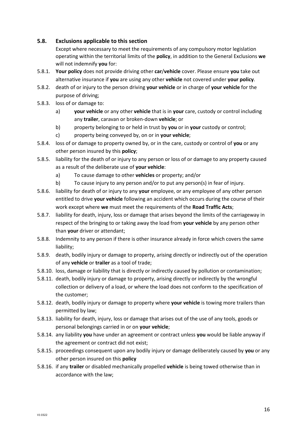## **5.8. Exclusions applicable to this section**

Except where necessary to meet the requirements of any compulsory motor legislation operating within the territorial limits of the **policy**, in addition to the General Exclusions **we** will not indemnify **you** for:

- 5.8.1. **Your policy** does not provide driving other **car**/**vehicle** cover. Please ensure **you** take out alternative insurance if **you** are using any other **vehicle** not covered under **your policy**.
- 5.8.2. death of or injury to the person driving **your vehicle** or in charge of **your vehicle** for the purpose of driving;
- 5.8.3. loss of or damage to:
	- a) **your vehicle** or any other **vehicle** that is in **your** care, custody or control including any **trailer**, caravan or broken-down **vehicle**; or
	- b) property belonging to or held in trust by **you** or in **your** custody or control;
	- c) property being conveyed by, on or in **your vehicle**;
- 5.8.4. loss of or damage to property owned by, or in the care, custody or control of **you** or any other person insured by this **policy**;
- 5.8.5. liability for the death of or injury to any person or loss of or damage to any property caused as a result of the deliberate use of **your vehicle**:
	- a) To cause damage to other **vehicles** or property; and/or
	- b) To cause injury to any person and/or to put any person(s) in fear of injury.
- 5.8.6. liability for death of or injury to any **your** employee, or any employee of any other person entitled to drive **your vehicle** following an accident which occurs during the course of their work except where **we** must meet the requirements of the **Road Traffic Acts**;
- 5.8.7. liability for death, injury, loss or damage that arises beyond the limits of the carriageway in respect of the bringing to or taking away the load from **your vehicle** by any person other than **your** driver or attendant;
- 5.8.8. Indemnity to any person if there is other insurance already in force which covers the same liability;
- 5.8.9. death, bodily injury or damage to property, arising directly or indirectly out of the operation of any **vehicle** or **trailer** as a tool of trade;
- 5.8.10. loss, damage or liability that is directly or indirectly caused by pollution or contamination;
- 5.8.11. death, bodily injury or damage to property, arising directly or indirectly by the wrongful collection or delivery of a load, or where the load does not conform to the specification of the customer;
- 5.8.12. death, bodily injury or damage to property where **your vehicle** is towing more trailers than permitted by law;
- 5.8.13. liability for death, injury, loss or damage that arises out of the use of any tools, goods or personal belongings carried in or on **your vehicle**;
- 5.8.14. any liability **you** have under an agreement or contract unless **you** would be liable anyway if the agreement or contract did not exist;
- 5.8.15. proceedings consequent upon any bodily injury or damage deliberately caused by **you** or any other person insured on this **policy**
- 5.8.16. if any **trailer** or disabled mechanically propelled **vehicle** is being towed otherwise than in accordance with the law;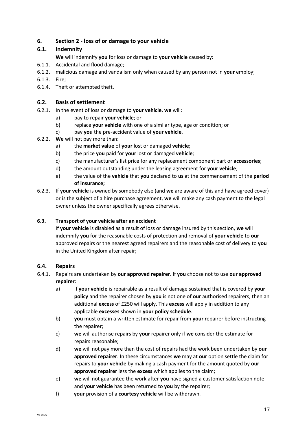## **6. Section 2 - loss of or damage to your vehicle**

## **6.1. Indemnity**

**We** will indemnify **you** for loss or damage to **your vehicle** caused by:

- 6.1.1. Accidental and flood damage;
- 6.1.2. malicious damage and vandalism only when caused by any person not in **your** employ;
- 6.1.3. Fire;
- 6.1.4. Theft or attempted theft.

## **6.2. Basis of settlement**

- 6.2.1. In the event of loss or damage to **your vehicle**, **we** will:
	- a) pay to repair **your vehicle**; or
	- b) replace **your vehicle** with one of a similar type, age or condition; or
	- c) pay **you** the pre-accident value of **your vehicle**.
- 6.2.2. **We** will not pay more than:
	- a) the **market value** of **your** lost or damaged **vehicle**;
	- b) the price **you** paid for **your** lost or damaged **vehicle**;
	- c) the manufacturer's list price for any replacement component part or **accessories**;
	- d) the amount outstanding under the leasing agreement for **your vehicle**;
	- e) the value of the **vehicle** that **you** declared to **us** at the commencement of the **period of insurance;**
- 6.2.3. If **your vehicle** is owned by somebody else (and **we** are aware of this and have agreed cover) or is the subject of a hire purchase agreement, **we** will make any cash payment to the legal owner unless the owner specifically agrees otherwise.

## **6.3. Transport of your vehicle after an accident**

If **your vehicle** is disabled as a result of loss or damage insured by this section, **we** will indemnify **you** for the reasonable costs of protection and removal of **your vehicle** to **our** approved repairs or the nearest agreed repairers and the reasonable cost of delivery to **you** in the United Kingdom after repair;

## **6.4. Repairs**

- 6.4.1. Repairs are undertaken by **our approved repairer**. If **you** choose not to use **our approved repairer**:
	- a) If **your vehicle** is repairable as a result of damage sustained that is covered by **your policy** and the repairer chosen by **you** is not one of **our** authorised repairers, then an additional **excess** of £250 will apply. This **excess** will apply in addition to any applicable **excesses** shown in **your policy schedule**.
	- b) **you** must obtain a written estimate for repair from **your** repairer before instructing the repairer;
	- c) **we** will authorise repairs by **your** repairer only if **we** consider the estimate for repairs reasonable;
	- d) **we** will not pay more than the cost of repairs had the work been undertaken by **our approved repairer**. In these circumstances **we** may at **our** option settle the claim for repairs to **your vehicle** by making a cash payment for the amount quoted by **our approved repairer** less the **excess** which applies to the claim;
	- e) **we** will not guarantee the work after **you** have signed a customer satisfaction note and **your vehicle** has been returned to **you** by the repairer;
	- f) **your** provision of a **courtesy vehicle** will be withdrawn.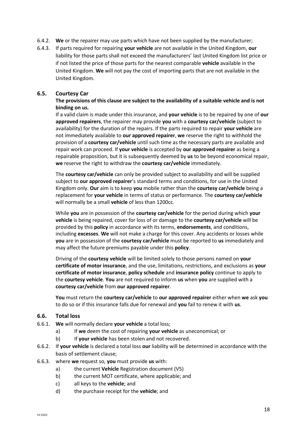- 6.4.2. **We** or the repairer may use parts which have not been supplied by the manufacturer;
- 6.4.3. If parts required for repairing **your vehicle** are not available in the United Kingdom, **our** liability for those parts shall not exceed the manufacturers' last United Kingdom list price or if not listed the price of those parts for the nearest comparable **vehicle** available in the United Kingdom. **We** will not pay the cost of importing parts that are not available in the United Kingdom.

#### **6.5. Courtesy Car**

#### **The provisions of this clause are subject to the availability of a suitable vehicle and is not binding on us.**

If a valid claim is made under this insurance, and **your vehicle** is to be repaired by one of **our approved repairers**, the repairer may provide **you** with a **courtesy car/vehicle** (subject to availability) for the duration of the repairs. If the parts required to repair **your vehicle** are not immediately available to **our approved repairer**, **we** reserve the right to withhold the provision of a **courtesy car/vehicle** until such time as the necessary parts are available and repair work can proceed. If **your vehicle** is accepted by **our approved repairer** as being a repairable proposition, but it is subsequently deemed by **us** to be beyond economical repair, **we** reserve the right to withdraw the **courtesy car/vehicle** immediately.

The **courtesy car/vehicle** can only be provided subject to availability and will be supplied subject to **our approved repairer**'s standard terms and conditions, for use in the United Kingdom only. **Our** aim is to keep **you** mobile rather than the **courtesy car/vehicle** being a replacement for **your vehicle** in terms of status or performance. The **courtesy car/vehicle** will normally be a small **vehicle** of less than 1200cc.

While **you** are in possession of the **courtesy car/vehicle** for the period during which **your vehicle** is being repaired, cover for loss of or damage to the **courtesy car/vehicle** will be provided by this **policy** in accordance with its terms, **endorsements**, and conditions, including **excesses**. **We** will not make a charge for this cover. Any accidents or losses while **you** are in possession of the **courtesy car/vehicle** must be reported to **us** immediately and may affect the future premiums payable under this **policy**.

Driving of the **courtesy vehicle** will be limited solely to those persons named on **your certificate of motor insurance**, and the use, limitations, restrictions, and exclusions as **your certificate of motor insurance**, **policy schedule** and **insurance policy** continue to apply to the **courtesy vehicle**. **You** are not required to inform **us** when **you** are supplied with a **courtesy car/vehicle** from **our approved repairer**.

**You** must return the **courtesy car/vehicle** to **our approved repairer** either when **we** ask **you** to do so or if this insurance falls due for renewal and **you** fail to renew it with **us**.

#### **6.6. Total loss**

- 6.6.1. **We** will normally declare **your vehicle** a total loss;
	- a) If **we** deem the cost of repairing **your vehicle** as uneconomical; or
	- b) If **your vehicle** has been stolen and not recovered.
- 6.6.2. If **your vehicle** is declared a total loss **our** liability will be determined in accordance with the basis of settlement clause;
- 6.6.3. where **we** request so, **you** must provide **us** with:
	- a) the current **Vehicle** Registration document (V5)
	- b) the current MOT certificate, where applicable; and
	- c) all keys to the **vehicle**; and
	- d) the purchase receipt for the **vehicle**; and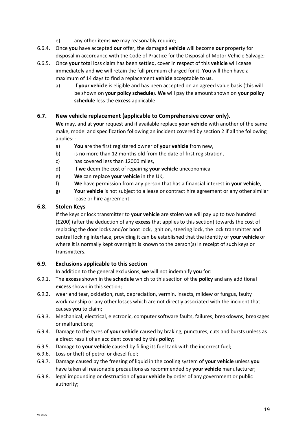- e) any other items **we** may reasonably require;
- 6.6.4. Once **you** have accepted **our** offer, the damaged **vehicle** will become **our** property for disposal in accordance with the Code of Practice for the Disposal of Motor Vehicle Salvage;
- 6.6.5. Once **your** total loss claim has been settled, cover in respect of this **vehicle** will cease immediately and **we** will retain the full premium charged for it. **You** will then have a maximum of 14 days to find a replacement **vehicle** acceptable to **us**.
	- a) If **your vehicle** is eligible and has been accepted on an agreed value basis (this will be shown on **your policy schedule**). **We** will pay the amount shown on **your policy schedule** less the **excess** applicable.

## **6.7. New vehicle replacement (applicable to Comprehensive cover only).**

**We** may, and at **your** request and if available replace **your vehicle** with another of the same make, model and specification following an incident covered by section 2 if all the following applies: -

- a) **You** are the first registered owner of **your vehicle** from new,
- b) is no more than 12 months old from the date of first registration,
- c) has covered less than 12000 miles,
- d) If **we** deem the cost of repairing **your vehicle** uneconomical
- e) **We** can replace **your vehicle** in the UK,
- f) **We** have permission from any person that has a financial interest in **your vehicle**,
- g) **Your vehicle** is not subject to a lease or contract hire agreement or any other similar lease or hire agreement.

## **6.8. Stolen Keys**

If the keys or lock transmitter to **your vehicle** are stolen **we** will pay up to two hundred (£200) (after the deduction of any **excess** that applies to this section) towards the cost of replacing the door locks and/or boot lock, ignition, steering lock, the lock transmitter and central locking interface, providing it can be established that the identity of **your vehicle** or where it is normally kept overnight is known to the person(s) in receipt of such keys or transmitters.

## **6.9. Exclusions applicable to this section**

In addition to the general exclusions, **we** will not indemnify **you** for:

- 6.9.1. The **excess** shown in the **schedule** which to this section of the **policy** and any additional **excess** shown in this section;
- 6.9.2. wear and tear, oxidation, rust, depreciation, vermin, insects, mildew or fungus, faulty workmanship or any other losses which are not directly associated with the incident that causes **you** to claim;
- 6.9.3. Mechanical, electrical, electronic, computer software faults, failures, breakdowns, breakages or malfunctions;
- 6.9.4. Damage to the tyres of **your vehicle** caused by braking, punctures, cuts and bursts unless as a direct result of an accident covered by this **policy**;
- 6.9.5. Damage to **your vehicle** caused by filling its fuel tank with the incorrect fuel;
- 6.9.6. Loss or theft of petrol or diesel fuel;
- 6.9.7. Damage caused by the freezing of liquid in the cooling system of **your vehicle** unless **you** have taken all reasonable precautions as recommended by **your vehicle** manufacturer;
- 6.9.8. legal impounding or destruction of **your vehicle** by order of any government or public authority;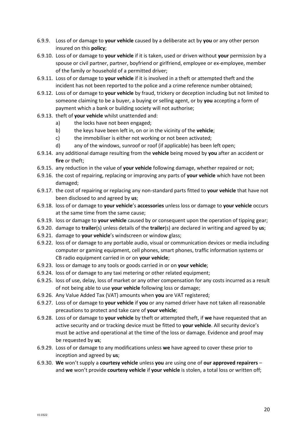- 6.9.9. Loss of or damage to **your vehicle** caused by a deliberate act by **you** or any other person insured on this **policy**;
- 6.9.10. Loss of or damage to **your vehicle** if it is taken, used or driven without **your** permission by a spouse or civil partner, partner, boyfriend or girlfriend, employee or ex-employee, member of the family or household of a permitted driver;
- 6.9.11. Loss of or damage to **your vehicle** if it is involved in a theft or attempted theft and the incident has not been reported to the police and a crime reference number obtained;
- 6.9.12. Loss of or damage to **your vehicle** by fraud, trickery or deception including but not limited to someone claiming to be a buyer, a buying or selling agent, or by **you** accepting a form of payment which a bank or building society will not authorise;
- 6.9.13. theft of **your vehicle** whilst unattended and:
	- a) the locks have not been engaged;
	- b) the keys have been left in, on or in the vicinity of the **vehicle**;
	- c) the immobiliser is either not working or not been activated;
	- d) any of the windows, sunroof or roof (if applicable) has been left open;
- 6.9.14. any additional damage resulting from the **vehicle** being moved by **you** after an accident or **fire** or theft;
- 6.9.15. any reduction in the value of **your vehicle** following damage, whether repaired or not;
- 6.9.16. the cost of repairing, replacing or improving any parts of **your vehicle** which have not been damaged;
- 6.9.17. the cost of repairing or replacing any non-standard parts fitted to **your vehicle** that have not been disclosed to and agreed by **us**;
- 6.9.18. loss of or damage to **your vehicle**'s **accessories** unless loss or damage to **your vehicle** occurs at the same time from the same cause;
- 6.9.19. loss or damage to **your vehicle** caused by or consequent upon the operation of tipping gear;
- 6.9.20. damage to **trailer**(s) unless details of the **trailer**(s) are declared in writing and agreed by **us**;
- 6.9.21. damage to **your vehicle**'s windscreen or window glass;
- 6.9.22. loss of or damage to any portable audio, visual or communication devices or media including computer or gaming equipment, cell phones, smart phones, traffic information systems or CB radio equipment carried in or on **your vehicle**;
- 6.9.23. loss or damage to any tools or goods carried in or on **your vehicle**;
- 6.9.24. loss of or damage to any taxi metering or other related equipment;
- 6.9.25. loss of use, delay, loss of market or any other compensation for any costs incurred as a result of not being able to use **your vehicle** following loss or damage;
- 6.9.26. Any Value Added Tax (VAT) amounts when **you** are VAT registered;
- 6.9.27. Loss of or damage to **your vehicle** if **you** or any named driver have not taken all reasonable precautions to protect and take care of **your vehicle**;
- 6.9.28. Loss of or damage to **your vehicle** by theft or attempted theft, if **we** have requested that an active security and or tracking device must be fitted to **your vehicle**. All security device's must be active and operational at the time of the loss or damage. Evidence and proof may be requested by **us**;
- 6.9.29. Loss of or damage to any modifications unless **we** have agreed to cover these prior to inception and agreed by **us**;
- 6.9.30. **We** won't supply a **courtesy vehicle** unless **you** are using one of **our approved repairers** and **we** won't provide **courtesy vehicle** if **your vehicle** is stolen, a total loss or written off;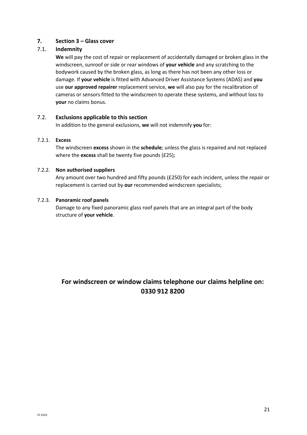## **7. Section 3 – Glass cover**

## 7.1. **Indemnity**

**We** will pay the cost of repair or replacement of accidentally damaged or broken glass in the windscreen, sunroof or side or rear windows of **your vehicle** and any scratching to the bodywork caused by the broken glass, as long as there has not been any other loss or damage. If **your vehicle** is fitted with Advanced Driver Assistance Systems (ADAS) and **you** use **our approved repairer** replacement service, **we** will also pay for the recalibration of cameras or sensors fitted to the windscreen to operate these systems, and without loss to **your** no claims bonus.

## 7.2. **Exclusions applicable to this section**

In addition to the general exclusions, **we** will not indemnify **you** for:

## 7.2.1. **Excess**

The windscreen **excess** shown in the **schedule**; unless the glass is repaired and not replaced where the **excess** shall be twenty five pounds (£25);

## 7.2.2. **Non authorised suppliers**

Any amount over two hundred and fifty pounds (£250) for each incident, unless the repair or replacement is carried out by **our** recommended windscreen specialists;

#### 7.2.3. **Panoramic roof panels**

Damage to any fixed panoramic glass roof panels that are an integral part of the body structure of **your vehicle**.

# **For windscreen or window claims telephone our claims helpline on: 0330 912 8200**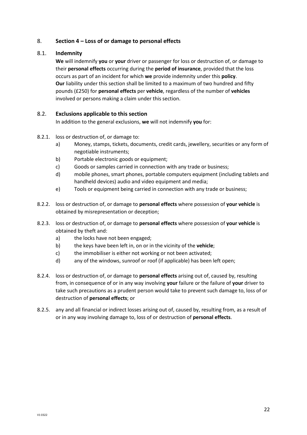## 8. **Section 4 – Loss of or damage to personal effects**

## 8.1. **Indemnity**

**We** will indemnify **you** or **your** driver or passenger for loss or destruction of, or damage to their **personal effects** occurring during the **period of insurance**, provided that the loss occurs as part of an incident for which **we** provide indemnity under this **policy**. **Our** liability under this section shall be limited to a maximum of two hundred and fifty pounds (£250) for **personal effects** per **vehicle**, regardless of the number of **vehicles** involved or persons making a claim under this section.

## 8.2. **Exclusions applicable to this section**

In addition to the general exclusions, **we** will not indemnify **you** for:

#### 8.2.1. loss or destruction of, or damage to:

- a) Money, stamps, tickets, documents, credit cards, jewellery, securities or any form of negotiable instruments;
- b) Portable electronic goods or equipment;
- c) Goods or samples carried in connection with any trade or business;
- d) mobile phones, smart phones, portable computers equipment (including tablets and handheld devices) audio and video equipment and media;
- e) Tools or equipment being carried in connection with any trade or business;
- 8.2.2. loss or destruction of, or damage to **personal effects** where possession of **your vehicle** is obtained by misrepresentation or deception;
- 8.2.3. loss or destruction of, or damage to **personal effects** where possession of **your vehicle** is obtained by theft and:
	- a) the locks have not been engaged;
	- b) the keys have been left in, on or in the vicinity of the **vehicle**;
	- c) the immobiliser is either not working or not been activated;
	- d) any of the windows, sunroof or roof (if applicable) has been left open;
- 8.2.4. loss or destruction of, or damage to **personal effects** arising out of, caused by, resulting from, in consequence of or in any way involving **your** failure or the failure of **your** driver to take such precautions as a prudent person would take to prevent such damage to, loss of or destruction of **personal effects**; or
- 8.2.5. any and all financial or indirect losses arising out of, caused by, resulting from, as a result of or in any way involving damage to, loss of or destruction of **personal effects**.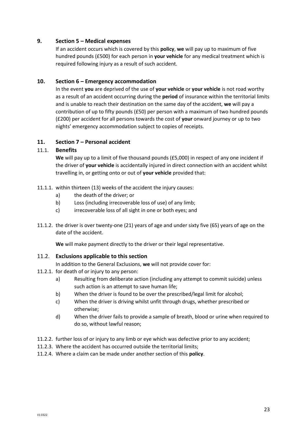## **9. Section 5 – Medical expenses**

If an accident occurs which is covered by this **policy**, **we** will pay up to maximum of five hundred pounds (£500) for each person in **your vehicle** for any medical treatment which is required following injury as a result of such accident.

#### **10. Section 6 – Emergency accommodation**

In the event **you** are deprived of the use of **your vehicle** or **your vehicle** is not road worthy as a result of an accident occurring during the **period** of insurance within the territorial limits and is unable to reach their destination on the same day of the accident, **we** will pay a contribution of up to fifty pounds (£50) per person with a maximum of two hundred pounds (£200) per accident for all persons towards the cost of **your** onward journey or up to two nights' emergency accommodation subject to copies of receipts.

#### **11. Section 7 – Personal accident**

#### 11.1. **Benefits**

**We** will pay up to a limit of five thousand pounds (£5,000) in respect of any one incident if the driver of **your vehicle** is accidentally injured in direct connection with an accident whilst travelling in, or getting onto or out of **your vehicle** provided that:

- 11.1.1. within thirteen (13) weeks of the accident the injury causes:
	- a) the death of the driver; or
	- b) Loss (including irrecoverable loss of use) of any limb;
	- c) irrecoverable loss of all sight in one or both eyes; and
- 11.1.2. the driver is over twenty-one (21) years of age and under sixty five (65) years of age on the date of the accident.

**We** will make payment directly to the driver or their legal representative.

#### 11.2. **Exclusions applicable to this section**

In addition to the General Exclusions, **we** will not provide cover for:

- 11.2.1. for death of or injury to any person:
	- a) Resulting from deliberate action (including any attempt to commit suicide) unless such action is an attempt to save human life;
	- b) When the driver is found to be over the prescribed/legal limit for alcohol;
	- c) When the driver is driving whilst unfit through drugs, whether prescribed or otherwise;
	- d) When the driver fails to provide a sample of breath, blood or urine when required to do so, without lawful reason;
- 11.2.2. further loss of or injury to any limb or eye which was defective prior to any accident;
- 11.2.3. Where the accident has occurred outside the territorial limits;
- 11.2.4. Where a claim can be made under another section of this **policy**.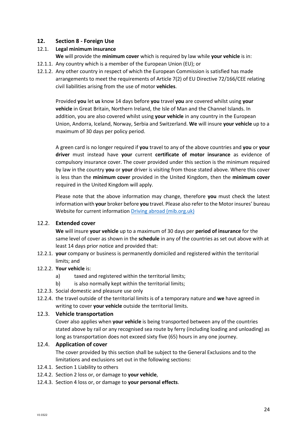## **12. Section 8 - Foreign Use**

## 12.1. **Legal minimum insurance**

**We** will provide the **minimum cover** which is required by law while **your vehicle** is in:

- 12.1.1. Any country which is a member of the European Union (EU); or
- 12.1.2. Any other country in respect of which the European Commission is satisfied has made arrangements to meet the requirements of Article 7(2) of EU Directive 72/166/CEE relating civil liabilities arising from the use of motor **vehicles**.

Provided **you** let **us** know 14 days before **you** travel **you** are covered whilst using **your vehicle** in Great Britain, Northern Ireland, the Isle of Man and the Channel Islands. In addition, you are also covered whilst using **your vehicle** in any country in the European Union, Andorra, Iceland, Norway, Serbia and Switzerland. **We** will insure **your vehicle** up to a maximum of 30 days per policy period.

A green card is no longer required if **you** travel to any of the above countries and **you** or **your driver** must instead have **your** current **certificate of motor insurance** as evidence of compulsory insurance cover. The cover provided under this section is the minimum required by law in the country **you** or **your** driver is visiting from those stated above. Where this cover is less than the **minimum cover** provided in the United Kingdom, then the **minimum cover** required in the United Kingdom will apply.

Please note that the above information may change, therefore **you** must check the latest information with **your** broker before **you** travel. Please also refer to the Motor insures' bureau Website for current information [Driving abroad \(mib.org.uk\)](https://www.mib.org.uk/driving-abroad/)

## 12.2. **Extended cover**

**We** will insure **your vehicle** up to a maximum of 30 days per **period of insurance** for the same level of cover as shown in the **schedule** in any of the countries as set out above with at least 14 days prior notice and provided that:

12.2.1. **your** company or business is permanently domiciled and registered within the territorial limits; and

## 12.2.2. **Your vehicle** is:

- a) taxed and registered within the territorial limits;
- b) is also normally kept within the territorial limits;
- 12.2.3. Social domestic and pleasure use only
- 12.2.4. the travel outside of the territorial limits is of a temporary nature and **we** have agreed in writing to cover **your vehicle** outside the territorial limits.

## 12.3. **Vehicle transportation**

Cover also applies when **your vehicle** is being transported between any of the countries stated above by rail or any recognised sea route by ferry (including loading and unloading) as long as transportation does not exceed sixty five (65) hours in any one journey.

## 12.4. **Application of cover**

The cover provided by this section shall be subject to the General Exclusions and to the limitations and exclusions set out in the following sections:

- 12.4.1. Section 1 Liability to others
- 12.4.2. Section 2 loss or, or damage to **your vehicle**,
- 12.4.3. Section 4 loss or, or damage to **your personal effects**.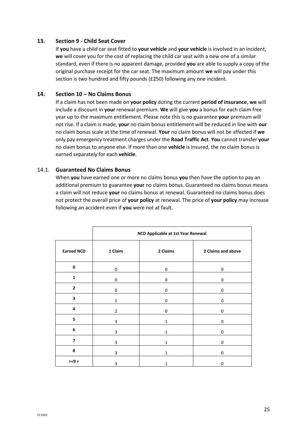#### **13. Section 9 - Child Seat Cover**

If **you** have a child car seat fitted to **your vehicle** and **your vehicle** is involved in an incident, **we** will cover you for the cost of replacing the child car seat with a new one of a similar standard, even if there is no apparent damage, provided **you** are able to supply a copy of the original purchase receipt for the car seat. The maximum amount **we** will pay under this section is two hundred and fifty pounds (£250) following any one incident.

#### **14. Section 10 – No Claims Bonus**

If a claim has not been made on **your policy** during the current **period of insurance**, **we** will include a discount in **your** renewal premium. **We** will give **you** a bonus for each claim free year up to the maximum entitlement. Please note this is no guarantee **your** premium will not rise. If a claim is made, **your** no claim bonus entitlement will be reduced in line with **our** no claim bonus scale at the time of renewal. **Your** no claim bonus will not be affected if **we** only pay emergency treatment charges under the **Road Traffic Act**. **You** cannot transfer **your** no claim bonus to anyone else. If more than one **vehicle** is insured, the no claim bonus is earned separately for each **vehicle**.

#### 14.1. **Guaranteed No Claims Bonus**

When **you** have earned one or more no claims bonus **you** then have the option to pay an additional premium to guarantee **your** no claims bonus. Guaranteed no claims bonus means a claim will not reduce **your** no claims bonus at renewal. Guaranteed no claims bonus does not protect the overall price of **your policy** at renewal. The price of **your policy** may increase following an accident even if **you** were not at fault.

|                   | NCD Applicable at 1st Year Renewal |              |                    |  |  |
|-------------------|------------------------------------|--------------|--------------------|--|--|
| <b>Earned NCD</b> | 1 Claim                            | 2 Claims     | 2 Claims and above |  |  |
| 0                 | 0                                  | 0            | 0                  |  |  |
| $\mathbf{1}$      | 0                                  | 0            | 0                  |  |  |
| $\overline{2}$    | 0                                  | 0            | 0                  |  |  |
| 3                 | $\mathbf 1$                        | 0            | 0                  |  |  |
| 4                 | $\overline{2}$                     | 0            | 0                  |  |  |
| 5                 | 3                                  | 1            | 0                  |  |  |
| $\bf 6$           | 3                                  | 1            | 0                  |  |  |
| $\overline{7}$    | 3                                  | $\mathbf{1}$ | 0                  |  |  |
| 8                 | 3                                  | $\mathbf{1}$ | 0                  |  |  |
| $>= 9 +$          | 3                                  | 1            | 0                  |  |  |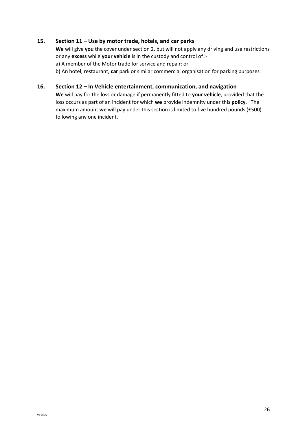## **15. Section 11 – Use by motor trade, hotels, and car parks**

**We** will give **you** the cover under section 2, but will not apply any driving and use restrictions or any **excess** while **your vehicle** is in the custody and control of : a) A member of the Motor trade for service and repair: or

b) An hotel, restaurant, **car** park or similar commercial organisation for parking purposes

## **16. Section 12 – In Vehicle entertainment, communication, and navigation**

**We** will pay for the loss or damage if permanently fitted to **your vehicle**, provided that the loss occurs as part of an incident for which **we** provide indemnity under this **policy**. The maximum amount **we** will pay under this section is limited to five hundred pounds (£500) following any one incident.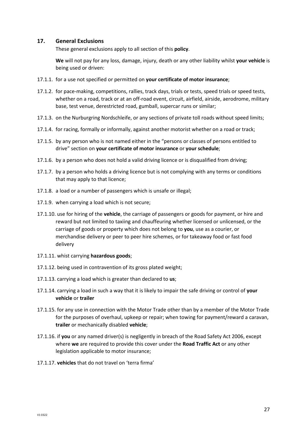#### **17. General Exclusions**

These general exclusions apply to all section of this **policy**.

**We** will not pay for any loss, damage, injury, death or any other liability whilst **your vehicle** is being used or driven:

- 17.1.1. for a use not specified or permitted on **your certificate of motor insurance**;
- 17.1.2. for pace-making, competitions, rallies, track days, trials or tests, speed trials or speed tests, whether on a road, track or at an off-road event, circuit, airfield, airside, aerodrome, military base, test venue, derestricted road, gumball, supercar runs or similar;
- 17.1.3. on the Nurburgring Nordschleife, or any sections of private toll roads without speed limits;
- 17.1.4. for racing, formally or informally, against another motorist whether on a road or track;
- 17.1.5. by any person who is not named either in the "persons or classes of persons entitled to drive" section on **your certificate of motor insurance** or **your schedule**;
- 17.1.6. by a person who does not hold a valid driving licence or is disqualified from driving;
- 17.1.7. by a person who holds a driving licence but is not complying with any terms or conditions that may apply to that licence;
- 17.1.8. a load or a number of passengers which is unsafe or illegal;
- 17.1.9. when carrying a load which is not secure;
- 17.1.10. use for hiring of the **vehicle**, the carriage of passengers or goods for payment, or hire and reward but not limited to taxiing and chauffeuring whether licensed or unlicensed, or the carriage of goods or property which does not belong to **you**, use as a courier, or merchandise delivery or peer to peer hire schemes, or for takeaway food or fast food delivery
- 17.1.11. whist carrying **hazardous goods**;
- 17.1.12. being used in contravention of its gross plated weight;
- 17.1.13. carrying a load which is greater than declared to **us**;
- 17.1.14. carrying a load in such a way that it is likely to impair the safe driving or control of **your vehicle** or **trailer**
- 17.1.15. for any use in connection with the Motor Trade other than by a member of the Motor Trade for the purposes of overhaul, upkeep or repair; when towing for payment/reward a caravan, **trailer** or mechanically disabled **vehicle**;
- 17.1.16. if **you** or any named driver(s) is negligently in breach of the Road Safety Act 2006, except where **we** are required to provide this cover under the **Road Traffic Act** or any other legislation applicable to motor insurance;
- 17.1.17. **vehicles** that do not travel on 'terra firma'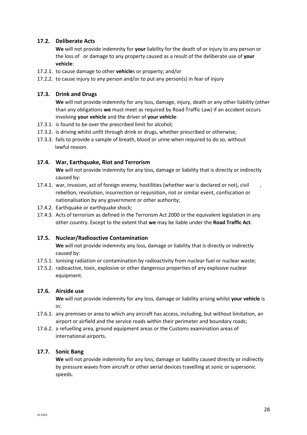## **17.2. Deliberate Acts**

**We** will not provide indemnity for **your** liability for the death of or injury to any person or the loss of or damage to any property caused as a result of the deliberate use of **your vehicle**:

- 17.2.1. to cause damage to other **vehicle**s or property; and/or
- 17.2.2. to cause injury to any person and/or to put any person(s) in fear of injury

## **17.3. Drink and Drugs**

**We** will not provide indemnity for any loss, damage, injury, death or any other liability (other than any obligations **we** must meet as required by Road Traffic Law) if an accident occurs involving **your vehicle** and the driver of **your vehicle**:

- 17.3.1. is found to be over the prescribed limit for alcohol;
- 17.3.2. is driving whilst unfit through drink or drugs, whether prescribed or otherwise;
- 17.3.3. fails to provide a sample of breath, blood or urine when required to do so, without lawful reason.

## **17.4. War, Earthquake, Riot and Terrorism**

**We** will not provide indemnity for any loss, damage or liability that is directly or indirectly caused by:

- 17.4.1. war, Invasion, act of foreign enemy, hostilities (whether war is declared or not), civil rebellion, revolution, insurrection or requisition, riot or similar event, confiscation or nationalisation by any government or other authority;
- 17.4.2. Earthquake or earthquake shock;
- 17.4.3. Acts of terrorism as defined in the Terrorism Act 2000 or the equivalent legislation in any other country. Except to the extent that **we** may be liable under the **Road Traffic Act**.

## **17.5. Nuclear/Radioactive Contamination**

**We** will not provide indemnity any loss, damage or liability that is directly or indirectly caused by:

- 17.5.1. Ionising radiation or contamination by radioactivity from nuclear fuel or nuclear waste;
- 17.5.2. radioactive, toxic, explosive or other dangerous properties of any explosive nuclear equipment.

## **17.6. Airside use**

**We** will not provide indemnity for any loss, damage or liability arising whilst **your vehicle** is in:

- 17.6.1. any premises or area to which any aircraft has access, including, but without limitation, an airport or airfield and the service roads within their perimeter and boundary roads;
- 17.6.2. a refuelling area, ground equipment areas or the Customs examination areas of international airports.

## **17.7. Sonic Bang**

**We** will not provide indemnity for any loss, damage or liability caused directly or indirectly by pressure waves from aircraft or other aerial devices travelling at sonic or supersonic speeds.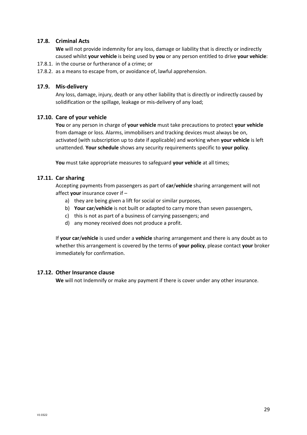## **17.8. Criminal Acts**

**We** will not provide indemnity for any loss, damage or liability that is directly or indirectly caused whilst **your vehicle** is being used by **you** or any person entitled to drive **your vehicle**:

- 17.8.1. in the course or furtherance of a crime; or
- 17.8.2. as a means to escape from, or avoidance of, lawful apprehension.

#### **17.9. Mis-delivery**

Any loss, damage, injury, death or any other liability that is directly or indirectly caused by solidification or the spillage, leakage or mis-delivery of any load;

#### **17.10. Care of your vehicle**

**You** or any person in charge of **your vehicle** must take precautions to protect **your vehicle** from damage or loss. Alarms, immobilisers and tracking devices must always be on, activated (with subscription up to date if applicable) and working when **your vehicle** is left unattended. **Your schedule** shows any security requirements specific to **your policy**.

**You** must take appropriate measures to safeguard **your vehicle** at all times;

#### **17.11. Car sharing**

Accepting payments from passengers as part of **car**/**vehicle** sharing arrangement will not affect **your** insurance cover if –

- a) they are being given a lift for social or similar purposes,
- b) **Your car**/**vehicle** is not built or adapted to carry more than seven passengers,
- c) this is not as part of a business of carrying passengers; and
- d) any money received does not produce a profit.

If **your car**/**vehicle** is used under a **vehicle** sharing arrangement and there is any doubt as to whether this arrangement is covered by the terms of **your policy**, please contact **your** broker immediately for confirmation.

#### **17.12. Other Insurance clause**

**We** will not Indemnify or make any payment if there is cover under any other insurance.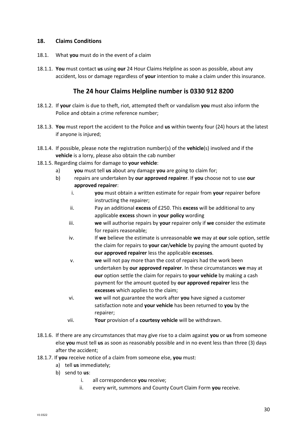## **18. Claims Conditions**

- 18.1. What **you** must do in the event of a claim
- 18.1.1. **You** must contact **us** using **our** 24 Hour Claims Helpline as soon as possible, about any accident, loss or damage regardless of **your** intention to make a claim under this insurance.

## **The 24 hour Claims Helpline number is 0330 912 8200**

- 18.1.2. If **your** claim is due to theft, riot, attempted theft or vandalism **you** must also inform the Police and obtain a crime reference number;
- 18.1.3. **You** must report the accident to the Police and **us** within twenty four (24) hours at the latest if anyone is injured;
- 18.1.4. If possible, please note the registration number(s) of the **vehicle**(s) involved and if the **vehicle** is a lorry, please also obtain the cab number
- 18.1.5. Regarding claims for damage to **your vehicle**:
	- a) **you** must tell **us** about any damage **you** are going to claim for;
	- b) repairs are undertaken by **our approved repairer**. If **you** choose not to use **our approved repairer**:
		- i. **you** must obtain a written estimate for repair from **your** repairer before instructing the repairer;
		- ii. Pay an additional **excess** of £250. This **excess** will be additional to any applicable **excess** shown in **your policy** wording
		- iii. **we** will authorise repairs by **your** repairer only if **we** consider the estimate for repairs reasonable;
		- iv. If **we** believe the estimate is unreasonable **we** may at **our** sole option, settle the claim for repairs to **your car**/**vehicle** by paying the amount quoted by **our approved repairer** less the applicable **excesses**.
		- v. **we** will not pay more than the cost of repairs had the work been undertaken by **our approved repairer**. In these circumstances **we** may at **our** option settle the claim for repairs to **your vehicle** by making a cash payment for the amount quoted by **our approved repairer** less the **excesses** which applies to the claim;
		- vi. **we** will not guarantee the work after **you** have signed a customer satisfaction note and **your vehicle** has been returned to **you** by the repairer;
		- vii. **Your** provision of a **courtesy vehicle** will be withdrawn.
- 18.1.6. If there are any circumstances that may give rise to a claim against **you** or **us** from someone else **you** must tell **us** as soon as reasonably possible and in no event less than three (3) days after the accident;
- 18.1.7. If **you** receive notice of a claim from someone else, **you** must:
	- a) tell **us** immediately;
	- b) send to **us**:
		- i. all correspondence **you** receive;
		- ii. every writ, summons and County Court Claim Form **you** receive.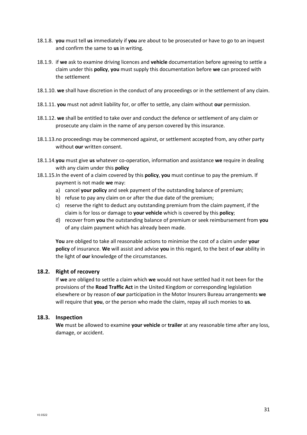- 18.1.8. **you** must tell **us** immediately if **you** are about to be prosecuted or have to go to an inquest and confirm the same to **us** in writing.
- 18.1.9. if **we** ask to examine driving licences and **vehicle** documentation before agreeing to settle a claim under this **policy**, **you** must supply this documentation before **we** can proceed with the settlement
- 18.1.10. **we** shall have discretion in the conduct of any proceedings or in the settlement of any claim.
- 18.1.11. **you** must not admit liability for, or offer to settle, any claim without **our** permission.
- 18.1.12. **we** shall be entitled to take over and conduct the defence or settlement of any claim or prosecute any claim in the name of any person covered by this insurance.
- 18.1.13.no proceedings may be commenced against, or settlement accepted from, any other party without **our** written consent.
- 18.1.14.**you** must give **us** whatever co-operation, information and assistance **we** require in dealing with any claim under this **policy**
- 18.1.15.In the event of a claim covered by this **policy**, **you** must continue to pay the premium. If payment is not made **we** may:
	- a) cancel **your policy** and seek payment of the outstanding balance of premium;
	- b) refuse to pay any claim on or after the due date of the premium;
	- c) reserve the right to deduct any outstanding premium from the claim payment, if the claim is for loss or damage to **your vehicle** which is covered by this **policy**;
	- d) recover from **you** the outstanding balance of premium or seek reimbursement from **you** of any claim payment which has already been made.

**You** are obliged to take all reasonable actions to minimise the cost of a claim under **your policy** of insurance. **We** will assist and advise **you** in this regard, to the best of **our** ability in the light of **our** knowledge of the circumstances.

## **18.2. Right of recovery**

If **we** are obliged to settle a claim which **we** would not have settled had it not been for the provisions of the **Road Traffic Act** in the United Kingdom or corresponding legislation elsewhere or by reason of **our** participation in the Motor Insurers Bureau arrangements **we** will require that **you**, or the person who made the claim, repay all such monies to **us**.

## **18.3. Inspection**

**We** must be allowed to examine **your vehicle** or **trailer** at any reasonable time after any loss, damage, or accident.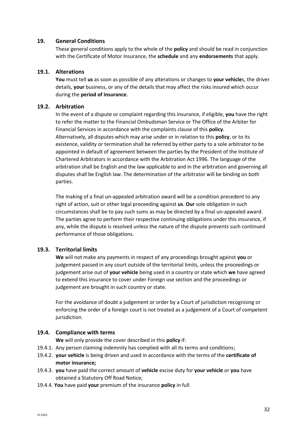#### **19. General Conditions**

These general conditions apply to the whole of the **policy** and should be read in conjunction with the Certificate of Motor Insurance, the **schedule** and any **endorsements** that apply.

#### **19.1. Alterations**

**You** must tell **us** as soon as possible of any alterations or changes to **your vehicle**s, the driver details, **your** business, or any of the details that may affect the risks insured which occur during the **period of insurance**.

#### **19.2. Arbitration**

In the event of a dispute or complaint regarding this insurance, if eligible, **you** have the right to refer the matter to the Financial Ombudsman Service or The Office of the Arbiter for Financial Services in accordance with the complaints clause of this **policy**. Alternatively, all disputes which may arise under or in relation to this **policy**, or to its existence, validity or termination shall be referred by either party to a sole arbitrator to be appointed in default of agreement between the parties by the President of the Institute of Chartered Arbitrators in accordance with the Arbitration Act 1996. The language of the arbitration shall be English and the law applicable to and in the arbitration and governing all disputes shall be English law. The determination of the arbitrator will be binding on both parties.

The making of a final un-appealed arbitration award will be a condition precedent to any right of action, suit or other legal proceeding against **us**. **Our** sole obligation in such circumstances shall be to pay such sums as may be directed by a final un-appealed award. The parties agree to perform their respective continuing obligations under this insurance, if any, while the dispute is resolved unless the nature of the dispute prevents such continued performance of those obligations.

## **19.3. Territorial limits**

**We** will not make any payments in respect of any proceedings brought against **you** or judgement passed in any court outside of the territorial limits, unless the proceedings or judgement arise out of **your vehicle** being used in a country or state which **we** have agreed to extend this insurance to cover under Foreign use section and the proceedings or judgement are brought in such country or state.

For the avoidance of doubt a judgement or order by a Court of jurisdiction recognising or enforcing the order of a foreign court is not treated as a judgement of a Court of competent jurisdiction.

## **19.4. Compliance with terms**

**We** will only provide the cover described in this **policy** if:

- 19.4.1. Any person claiming indemnity has complied with all its terms and conditions;
- 19.4.2. **your vehicle** is being driven and used in accordance with the terms of the **certificate of motor insurance;**
- 19.4.3. **you** have paid the correct amount of **vehicle** excise duty for **your vehicle** or **you** have obtained a Statutory Off Road Notice;
- 19.4.4. **You** have paid **your** premium of the insurance **policy** in full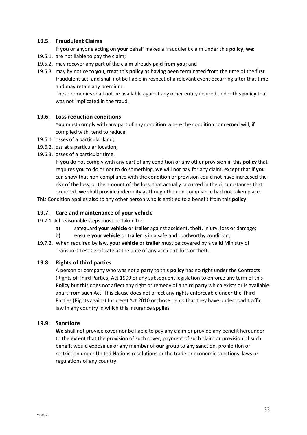## **19.5. Fraudulent Claims**

If **you** or anyone acting on **your** behalf makes a fraudulent claim under this **policy**, **we**:

- 19.5.1. are not liable to pay the claim;
- 19.5.2. may recover any part of the claim already paid from **you**; and
- 19.5.3. may by notice to **you**, treat this **policy** as having been terminated from the time of the first fraudulent act, and shall not be liable in respect of a relevant event occurring after that time and may retain any premium.

These remedies shall not be available against any other entity insured under this **policy** that was not implicated in the fraud.

## **19.6. Loss reduction conditions**

Y**ou** must comply with any part of any condition where the condition concerned will, if complied with, tend to reduce:

- 19.6.1. losses of a particular kind;
- 19.6.2. loss at a particular location;
- 19.6.3. losses of a particular time.

If **you** do not comply with any part of any condition or any other provision in this **policy** that requires **you** to do or not to do something, **we** will not pay for any claim, except that if **you** can show that non-compliance with the condition or provision could not have increased the risk of the loss, or the amount of the loss, that actually occurred in the circumstances that occurred, **we** shall provide indemnity as though the non-compliance had not taken place.

This Condition applies also to any other person who is entitled to a benefit from this **policy**

## **19.7. Care and maintenance of your vehicle**

- 19.7.1. All reasonable steps must be taken to:
	- a) safeguard **your vehicle** or **trailer** against accident, theft, injury, loss or damage;
	- b) ensure **your vehicle** or **trailer** is in a safe and roadworthy condition;
- 19.7.2. When required by law, **your vehicle** or **trailer** must be covered by a valid Ministry of Transport Test Certificate at the date of any accident, loss or theft.

#### **19.8. Rights of third parties**

A person or company who was not a party to this **policy** has no right under the Contracts (Rights of Third Parties) Act 1999 or any subsequent legislation to enforce any term of this **Policy** but this does not affect any right or remedy of a third party which exists or is available apart from such Act. This clause does not affect any rights enforceable under the Third Parties (Rights against Insurers) Act 2010 or those rights that they have under road traffic law in any country in which this insurance applies.

## **19.9. Sanctions**

**We** shall not provide cover nor be liable to pay any claim or provide any benefit hereunder to the extent that the provision of such cover, payment of such claim or provision of such benefit would expose **us** or any member of **our** group to any sanction, prohibition or restriction under United Nations resolutions or the trade or economic sanctions, laws or regulations of any country.